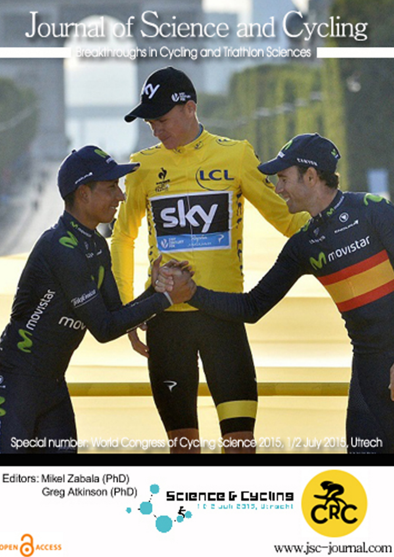## Journal of Science and Cycling

Breakthroughs in Cycling and Triathlon Sciences



Editors: Mikel Zabala (PhD) Greg Atkinson (PhD)

OPEN CACCESS





www.jsc-journal.com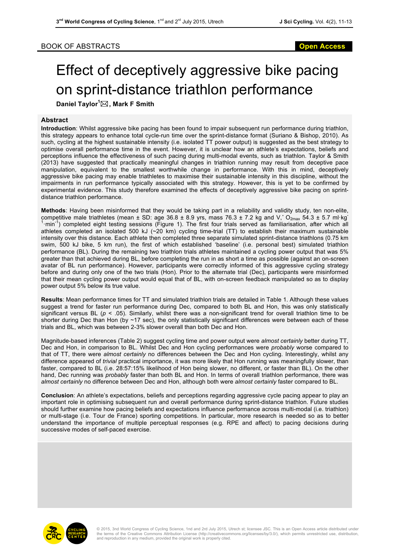## BOOK OF ABSTRACTS **Open Access**

## Effect of deceptively aggressive bike pacing on sprint-distance triathlon performance

**Daniel Taylor<sup>1</sup>** \***, Mark F Smith**

## **Abstract**

**Introduction**: Whilst aggressive bike pacing has been found to impair subsequent run performance during triathlon, this strategy appears to enhance total cycle-run time over the sprint-distance format (Suriano & Bishop, 2010). As such, cycling at the highest sustainable intensity (i.e. isolated TT power output) is suggested as the best strategy to optimise overall performance time in the event. However, it is unclear how an athlete's expectations, beliefs and perceptions influence the effectiveness of such pacing during multi-modal events, such as triathlon. Taylor & Smith (2013) have suggested that practically meaningful changes in triathlon running may result from deceptive pace manipulation, equivalent to the smallest worthwhile change in performance. With this in mind, deceptively aggressive bike pacing may enable triathletes to maximise their sustainable intensity in this discipline, without the impairments in run performance typically associated with this strategy. However, this is yet to be confirmed by experimental evidence. This study therefore examined the effects of deceptively aggressive bike pacing on sprintdistance triathlon performance.

**Methods**: Having been misinformed that they would be taking part in a reliability and validity study, ten non-elite, competitive male triathletes (mean  $\pm$  SD: age 36.8  $\pm$  8.9 yrs, mass 76.3  $\pm$  7.2 kg and V,  $O_{2max}$  54.3  $\pm$  5.7 ml·kg<sup>-1</sup> ·min-1 ) completed eight testing sessions (Figure 1). The first four trials served as familiarisation, after which all athletes completed an isolated 500 kJ  $(\sim 20 \text{ km})$  cycling time-trial (TT) to establish their maximum sustainable intensity over this distance. Each athlete then completed three separate simulated sprint-distance triathlons (0.75 km swim, 500 kJ bike, 5 km run), the first of which established 'baseline' (i.e. personal best) simulated triathlon performance (BL). During the remaining two triathlon trials athletes maintained a cycling power output that was 5% greater than that achieved during BL, before completing the run in as short a time as possible (against an on-screen avatar of BL run performance). However, participants were correctly informed of this aggressive cycling strategy before and during only one of the two trials (Hon). Prior to the alternate trial (Dec), participants were misinformed that their mean cycling power output would equal that of BL, with on-screen feedback manipulated so as to display power output 5% below its true value.

**Results**: Mean performance times for TT and simulated triathlon trials are detailed in Table 1. Although these values suggest a trend for faster run performance during Dec, compared to both BL and Hon, this was only statistically significant versus BL ( $p < .05$ ). Similarly, whilst there was a non-significant trend for overall triathlon time to be shorter during Dec than Hon (by ~17 sec), the only statistically significant differences were between each of these trials and BL, which was between 2-3% slower overall than both Dec and Hon.

Magnitude-based inferences (Table 2) suggest cycling time and power output were *almost certainly* better during TT, Dec and Hon, in comparison to BL. Whilst Dec and Hon cycling performances were *probably* worse compared to that of TT, there were *almost certainly* no differences between the Dec and Hon cycling. Interestingly, whilst any difference appeared of *trivial* practical importance, it was more likely that Hon running was meaningfully slower, than faster, compared to BL (i.e. 28:57:15% likelihood of Hon being slower, no different, or faster than BL). On the other hand, Dec running was *probably* faster than both BL and Hon. In terms of overall triathlon performance, there was *almost certainly* no difference between Dec and Hon, although both were *almost certainly* faster compared to BL.

**Conclusion**: An athlete's expectations, beliefs and perceptions regarding aggressive cycle pacing appear to play an important role in optimising subsequent run and overall performance during sprint-distance triathlon. Future studies should further examine how pacing beliefs and expectations influence performance across multi-modal (i.e. triathlon) or multi-stage (i.e. Tour de France) sporting competitions. In particular, more research is needed so as to better understand the importance of multiple perceptual responses (e.g. RPE and affect) to pacing decisions during successive modes of self-paced exercise.